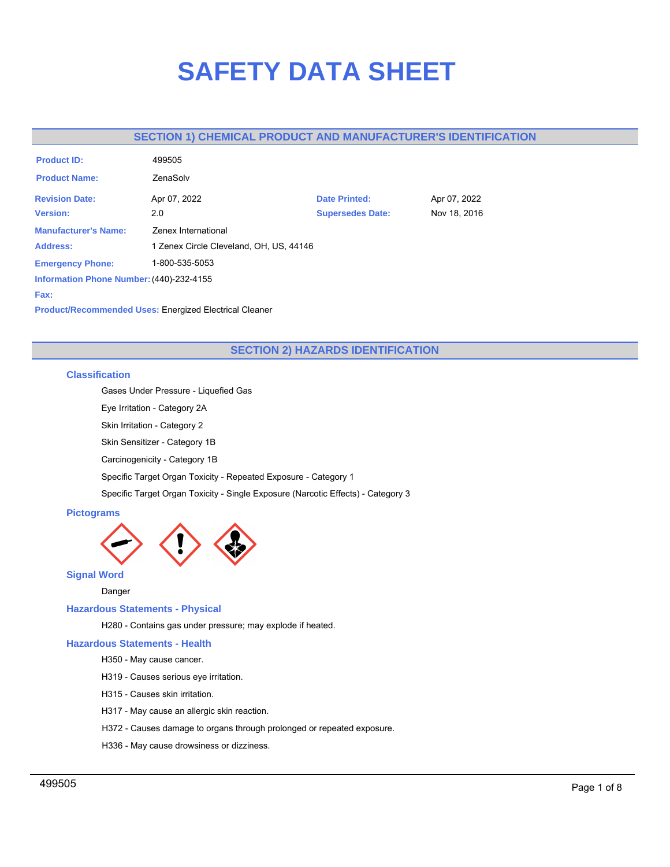# **SAFETY DATA SHEET**

# **SECTION 1) CHEMICAL PRODUCT AND MANUFACTURER'S IDENTIFICATION**

| <b>Product ID:</b>                       | 499505                                  |                         |              |
|------------------------------------------|-----------------------------------------|-------------------------|--------------|
| <b>Product Name:</b>                     | ZenaSolv                                |                         |              |
| <b>Revision Date:</b>                    | Apr 07, 2022                            | <b>Date Printed:</b>    | Apr 07, 2022 |
| <b>Version:</b>                          | 2.0                                     | <b>Supersedes Date:</b> | Nov 18, 2016 |
| <b>Manufacturer's Name:</b>              | Zenex International                     |                         |              |
| <b>Address:</b>                          | 1 Zenex Circle Cleveland, OH, US, 44146 |                         |              |
| <b>Emergency Phone:</b>                  | 1-800-535-5053                          |                         |              |
| Information Phone Number: (440)-232-4155 |                                         |                         |              |
| Fax:                                     |                                         |                         |              |
|                                          |                                         |                         |              |

**Product/Recommended Uses:** Energized Electrical Cleaner

# **SECTION 2) HAZARDS IDENTIFICATION**

# **Classification**

Gases Under Pressure - Liquefied Gas

Eye Irritation - Category 2A

Skin Irritation - Category 2

Skin Sensitizer - Category 1B

Carcinogenicity - Category 1B

Specific Target Organ Toxicity - Repeated Exposure - Category 1

Specific Target Organ Toxicity - Single Exposure (Narcotic Effects) - Category 3

# **Pictograms**



**Signal Word**

Danger

## **Hazardous Statements - Physical**

H280 - Contains gas under pressure; may explode if heated.

# **Hazardous Statements - Health**

H350 - May cause cancer.

- H319 Causes serious eye irritation.
- H315 Causes skin irritation.
- H317 May cause an allergic skin reaction.
- H372 Causes damage to organs through prolonged or repeated exposure.
- H336 May cause drowsiness or dizziness.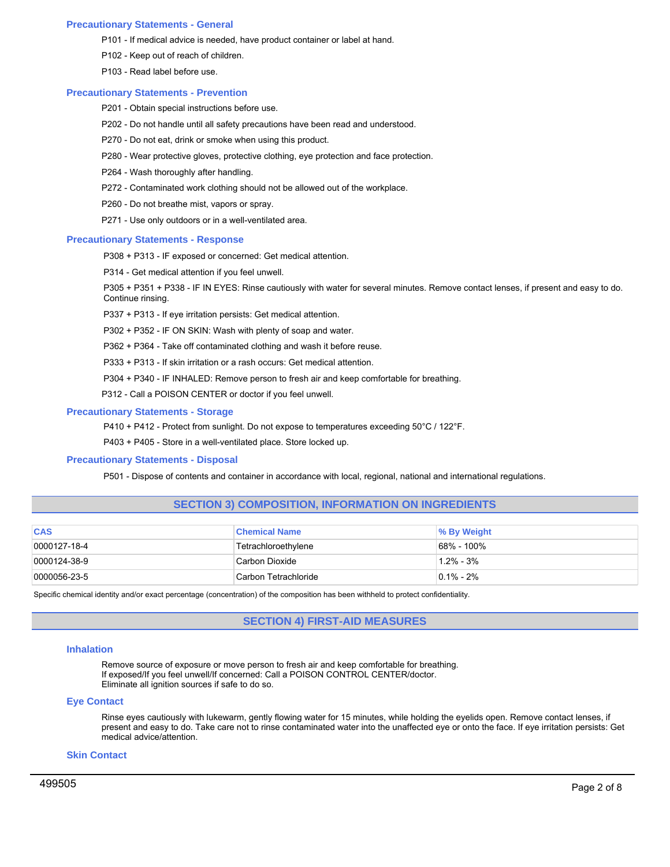## **Precautionary Statements - General**

- P101 If medical advice is needed, have product container or label at hand.
- P102 Keep out of reach of children.
- P103 Read label before use.

#### **Precautionary Statements - Prevention**

- P201 Obtain special instructions before use.
- P202 Do not handle until all safety precautions have been read and understood.
- P270 Do not eat, drink or smoke when using this product.
- P280 Wear protective gloves, protective clothing, eye protection and face protection.
- P264 Wash thoroughly after handling.
- P272 Contaminated work clothing should not be allowed out of the workplace.
- P260 Do not breathe mist, vapors or spray.
- P271 Use only outdoors or in a well-ventilated area.

## **Precautionary Statements - Response**

P308 + P313 - IF exposed or concerned: Get medical attention.

P314 - Get medical attention if you feel unwell.

P305 + P351 + P338 - IF IN EYES: Rinse cautiously with water for several minutes. Remove contact lenses, if present and easy to do. Continue rinsing.

P337 + P313 - If eye irritation persists: Get medical attention.

P302 + P352 - IF ON SKIN: Wash with plenty of soap and water.

P362 + P364 - Take off contaminated clothing and wash it before reuse.

P333 + P313 - If skin irritation or a rash occurs: Get medical attention.

P304 + P340 - IF INHALED: Remove person to fresh air and keep comfortable for breathing.

P312 - Call a POISON CENTER or doctor if you feel unwell.

#### **Precautionary Statements - Storage**

P410 + P412 - Protect from sunlight. Do not expose to temperatures exceeding 50°C / 122°F.

P403 + P405 - Store in a well-ventilated place. Store locked up.

#### **Precautionary Statements - Disposal**

P501 - Dispose of contents and container in accordance with local, regional, national and international regulations.

## **SECTION 3) COMPOSITION, INFORMATION ON INGREDIENTS**

| <b>CAS</b>       | <b>Chemical Name</b>  | <b>% By Weight</b> |
|------------------|-----------------------|--------------------|
| $ 0000127-18-4 $ | Tetrachloroethylene   | 68% - 100%         |
| $ 0000124-38-9 $ | Carbon Dioxide        | $1.2\% - 3\%$      |
| 0000056-23-5     | ICarbon Tetrachloride | $0.1\%$ - 2%       |

Specific chemical identity and/or exact percentage (concentration) of the composition has been withheld to protect confidentiality.

## **SECTION 4) FIRST-AID MEASURES**

#### **Inhalation**

Remove source of exposure or move person to fresh air and keep comfortable for breathing. If exposed/If you feel unwell/If concerned: Call a POISON CONTROL CENTER/doctor. Eliminate all ignition sources if safe to do so.

#### **Eye Contact**

Rinse eyes cautiously with lukewarm, gently flowing water for 15 minutes, while holding the eyelids open. Remove contact lenses, if present and easy to do. Take care not to rinse contaminated water into the unaffected eye or onto the face. If eye irritation persists: Get medical advice/attention.

## **Skin Contact**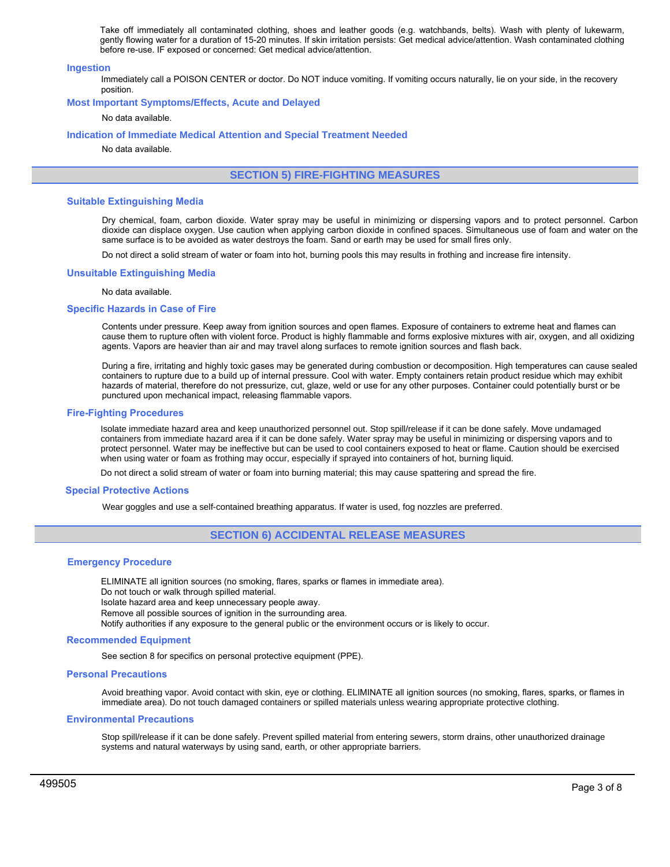Take off immediately all contaminated clothing, shoes and leather goods (e.g. watchbands, belts). Wash with plenty of lukewarm, gently flowing water for a duration of 15-20 minutes. If skin irritation persists: Get medical advice/attention. Wash contaminated clothing before re-use. IF exposed or concerned: Get medical advice/attention.

#### **Ingestion**

Immediately call a POISON CENTER or doctor. Do NOT induce vomiting. If vomiting occurs naturally, lie on your side, in the recovery position.

#### **Most Important Symptoms/Effects, Acute and Delayed**

## No data available.

#### **Indication of Immediate Medical Attention and Special Treatment Needed**

No data available.

# **SECTION 5) FIRE-FIGHTING MEASURES**

#### **Suitable Extinguishing Media**

Dry chemical, foam, carbon dioxide. Water spray may be useful in minimizing or dispersing vapors and to protect personnel. Carbon dioxide can displace oxygen. Use caution when applying carbon dioxide in confined spaces. Simultaneous use of foam and water on the same surface is to be avoided as water destroys the foam. Sand or earth may be used for small fires only.

Do not direct a solid stream of water or foam into hot, burning pools this may results in frothing and increase fire intensity.

#### **Unsuitable Extinguishing Media**

#### No data available.

#### **Specific Hazards in Case of Fire**

Contents under pressure. Keep away from ignition sources and open flames. Exposure of containers to extreme heat and flames can cause them to rupture often with violent force. Product is highly flammable and forms explosive mixtures with air, oxygen, and all oxidizing agents. Vapors are heavier than air and may travel along surfaces to remote ignition sources and flash back.

During a fire, irritating and highly toxic gases may be generated during combustion or decomposition. High temperatures can cause sealed containers to rupture due to a build up of internal pressure. Cool with water. Empty containers retain product residue which may exhibit hazards of material, therefore do not pressurize, cut, glaze, weld or use for any other purposes. Container could potentially burst or be punctured upon mechanical impact, releasing flammable vapors.

#### **Fire-Fighting Procedures**

Isolate immediate hazard area and keep unauthorized personnel out. Stop spill/release if it can be done safely. Move undamaged containers from immediate hazard area if it can be done safely. Water spray may be useful in minimizing or dispersing vapors and to protect personnel. Water may be ineffective but can be used to cool containers exposed to heat or flame. Caution should be exercised when using water or foam as frothing may occur, especially if sprayed into containers of hot, burning liquid.

Do not direct a solid stream of water or foam into burning material; this may cause spattering and spread the fire.

#### **Special Protective Actions**

Wear goggles and use a self-contained breathing apparatus. If water is used, fog nozzles are preferred.

## **SECTION 6) ACCIDENTAL RELEASE MEASURES**

#### **Emergency Procedure**

ELIMINATE all ignition sources (no smoking, flares, sparks or flames in immediate area). Do not touch or walk through spilled material. Isolate hazard area and keep unnecessary people away. Remove all possible sources of ignition in the surrounding area. Notify authorities if any exposure to the general public or the environment occurs or is likely to occur.

#### **Recommended Equipment**

See section 8 for specifics on personal protective equipment (PPE).

#### **Personal Precautions**

Avoid breathing vapor. Avoid contact with skin, eye or clothing. ELIMINATE all ignition sources (no smoking, flares, sparks, or flames in immediate area). Do not touch damaged containers or spilled materials unless wearing appropriate protective clothing.

#### **Environmental Precautions**

Stop spill/release if it can be done safely. Prevent spilled material from entering sewers, storm drains, other unauthorized drainage systems and natural waterways by using sand, earth, or other appropriate barriers.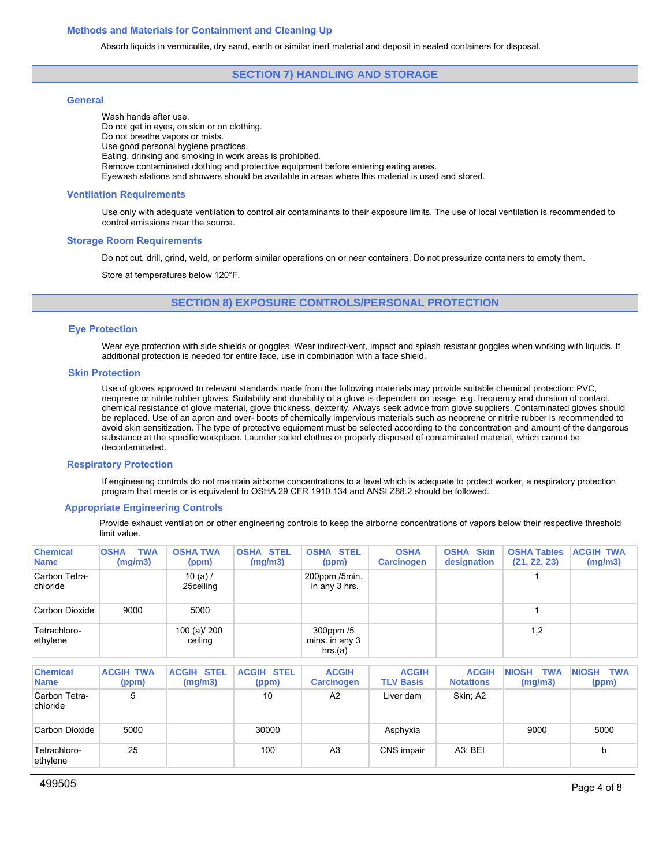## **Methods and Materials for Containment and Cleaning Up**

Absorb liquids in vermiculite, dry sand, earth or similar inert material and deposit in sealed containers for disposal.

## **SECTION 7) HANDLING AND STORAGE**

## **General**

Wash hands after use. Do not get in eyes, on skin or on clothing. Do not breathe vapors or mists. Use good personal hygiene practices. Eating, drinking and smoking in work areas is prohibited. Remove contaminated clothing and protective equipment before entering eating areas. Eyewash stations and showers should be available in areas where this material is used and stored.

#### **Ventilation Requirements**

Use only with adequate ventilation to control air contaminants to their exposure limits. The use of local ventilation is recommended to control emissions near the source.

## **Storage Room Requirements**

Do not cut, drill, grind, weld, or perform similar operations on or near containers. Do not pressurize containers to empty them.

Store at temperatures below 120°F.

**SECTION 8) EXPOSURE CONTROLS/PERSONAL PROTECTION**

#### **Eye Protection**

Wear eye protection with side shields or goggles. Wear indirect-vent, impact and splash resistant goggles when working with liquids. If additional protection is needed for entire face, use in combination with a face shield.

## **Skin Protection**

Use of gloves approved to relevant standards made from the following materials may provide suitable chemical protection: PVC, neoprene or nitrile rubber gloves. Suitability and durability of a glove is dependent on usage, e.g. frequency and duration of contact, chemical resistance of glove material, glove thickness, dexterity. Always seek advice from glove suppliers. Contaminated gloves should be replaced. Use of an apron and over- boots of chemically impervious materials such as neoprene or nitrile rubber is recommended to avoid skin sensitization. The type of protective equipment must be selected according to the concentration and amount of the dangerous substance at the specific workplace. Launder soiled clothes or properly disposed of contaminated material, which cannot be decontaminated.

#### **Respiratory Protection**

If engineering controls do not maintain airborne concentrations to a level which is adequate to protect worker, a respiratory protection program that meets or is equivalent to OSHA 29 CFR 1910.134 and ANSI Z88.2 should be followed.

#### **Appropriate Engineering Controls**

Provide exhaust ventilation or other engineering controls to keep the airborne concentrations of vapors below their respective threshold limit value.

| <b>Chemical</b><br><b>Name</b> | <b>TWA</b><br><b>OSHA</b><br>(mg/m3) | <b>OSHA TWA</b><br>(ppm) | <b>OSHA STEL</b><br>(mg/m3) | <b>OSHA STEL</b><br>(ppm)                | <b>OSHA</b><br><b>Carcinogen</b> | <b>Skin</b><br><b>OSHA</b><br>designation | <b>OSHA Tables</b><br>(Z1, Z2, Z3) | <b>ACGIH TWA</b><br>(mg/m3) |
|--------------------------------|--------------------------------------|--------------------------|-----------------------------|------------------------------------------|----------------------------------|-------------------------------------------|------------------------------------|-----------------------------|
| Carbon Tetra-<br>chloride      |                                      | 10 $(a)$<br>25ceiling    |                             | 200ppm /5min.<br>in any 3 hrs.           |                                  |                                           |                                    |                             |
| Carbon Dioxide                 | 9000                                 | 5000                     |                             |                                          |                                  |                                           |                                    |                             |
| Tetrachloro-<br>ethylene       |                                      | 100 (a)/ 200<br>ceiling  |                             | 300ppm /5<br>mins. in any $3$<br>hrs.(a) |                                  |                                           | 1,2                                |                             |

| <b>Chemical</b><br><b>Name</b> | <b>ACGIH TWA</b><br>(ppm) | <b>ACGIH STEL</b><br>(mg/m3) | <b>ACGIH STEL</b><br>(ppm) | <b>ACGIH</b><br><b>Carcinogen</b> | <b>ACGIH</b><br><b>TLV Basis</b> | <b>ACGIH</b><br><b>Notations</b> | <b>TWA</b><br><b>NIOSH</b><br>(mg/m3) | <b>TWA</b><br><b>NIOSH</b><br>(ppm) |
|--------------------------------|---------------------------|------------------------------|----------------------------|-----------------------------------|----------------------------------|----------------------------------|---------------------------------------|-------------------------------------|
| Carbon Tetra-<br>chloride      | 5                         |                              | 10                         | A <sub>2</sub>                    | Liver dam                        | Skin; A2                         |                                       |                                     |
| Carbon Dioxide                 | 5000                      |                              | 30000                      |                                   | Asphyxia                         |                                  | 9000                                  | 5000                                |
| Tetrachloro-<br>ethylene       | 25                        |                              | 100                        | A <sub>3</sub>                    | CNS impair                       | A <sub>3</sub> ; BEI             |                                       | b                                   |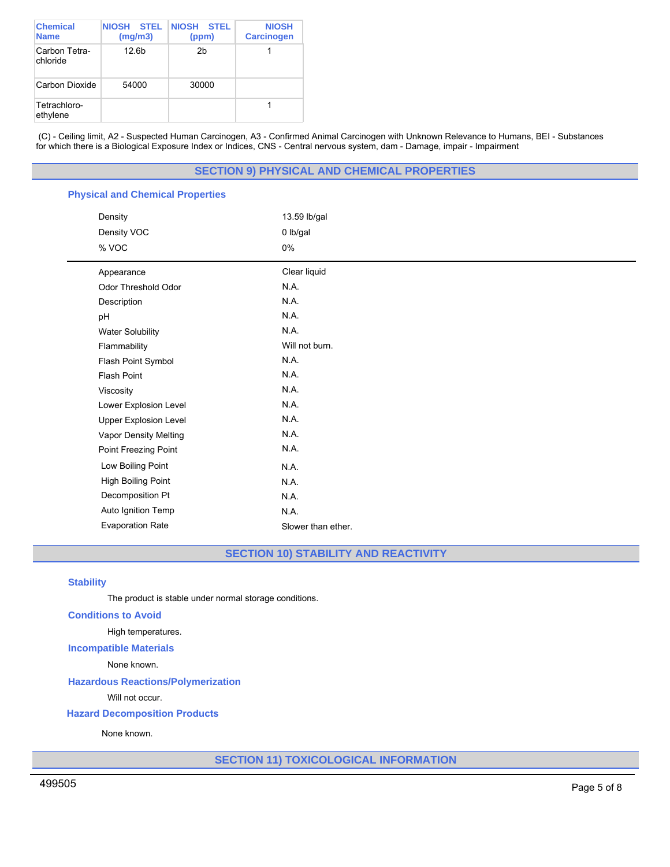| <b>Chemical</b><br><b>Name</b> | <b>STEL</b><br><b>NIOSH</b><br>(mg/m3) | <b>NIOSH STEL</b><br>(ppm) | <b>NIOSH</b><br><b>Carcinogen</b> |
|--------------------------------|----------------------------------------|----------------------------|-----------------------------------|
| Carbon Tetra-<br>chloride      | 12.6 <sub>b</sub>                      | 2h                         |                                   |
| Carbon Dioxide                 | 54000                                  | 30000                      |                                   |
| Tetrachloro-<br>ethylene       |                                        |                            |                                   |

(C) - Ceiling limit, A2 - Suspected Human Carcinogen, A3 - Confirmed Animal Carcinogen with Unknown Relevance to Humans, BEI - Substances for which there is a Biological Exposure Index or Indices, CNS - Central nervous system, dam - Damage, impair - Impairment

# **SECTION 9) PHYSICAL AND CHEMICAL PROPERTIES**

# **Physical and Chemical Properties**

| Density                      | 13.59 lb/gal       |  |
|------------------------------|--------------------|--|
| Density VOC                  | 0 lb/gal           |  |
| % VOC                        | 0%                 |  |
| Appearance                   | Clear liquid       |  |
| Odor Threshold Odor          | N.A.               |  |
| Description                  | N.A.               |  |
| pH                           | N.A.               |  |
| <b>Water Solubility</b>      | N.A.               |  |
| Flammability                 | Will not burn.     |  |
| Flash Point Symbol           | N.A.               |  |
| Flash Point                  | N.A.               |  |
| Viscosity                    | N.A.               |  |
| Lower Explosion Level        | N.A.               |  |
| <b>Upper Explosion Level</b> | N.A.               |  |
| Vapor Density Melting        | N.A.               |  |
| Point Freezing Point         | N.A.               |  |
| Low Boiling Point            | N.A.               |  |
| High Boiling Point           | N.A.               |  |
| Decomposition Pt             | N.A.               |  |
| Auto Ignition Temp           | N.A.               |  |
| <b>Evaporation Rate</b>      | Slower than ether. |  |

**SECTION 10) STABILITY AND REACTIVITY**

## **Stability**

The product is stable under normal storage conditions.

### **Conditions to Avoid**

High temperatures.

# **Incompatible Materials**

None known.

# **Hazardous Reactions/Polymerization**

Will not occur.

# **Hazard Decomposition Products**

None known.

**SECTION 11) TOXICOLOGICAL INFORMATION**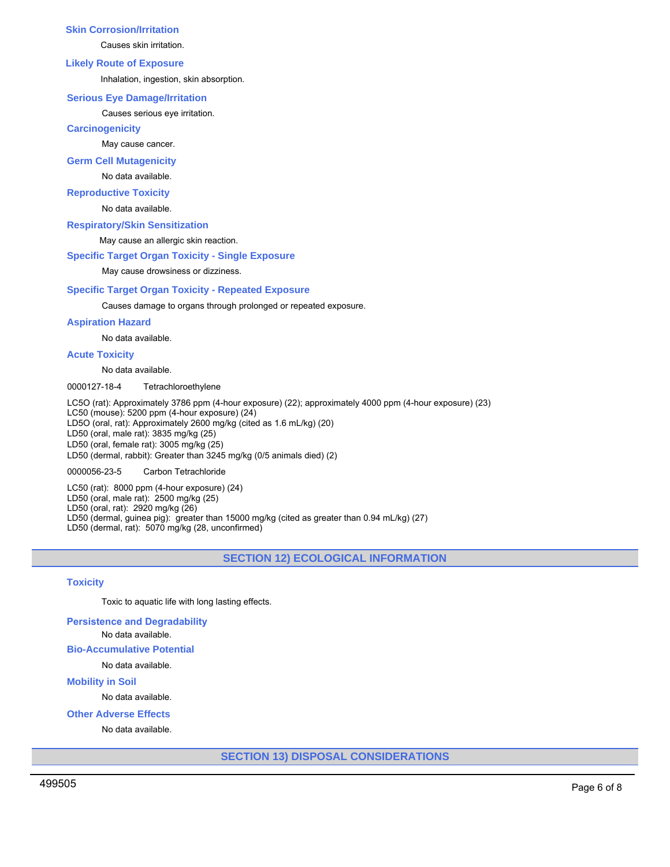## **Skin Corrosion/Irritation**

Causes skin irritation.

#### **Likely Route of Exposure**

Inhalation, ingestion, skin absorption.

#### **Serious Eye Damage/Irritation**

Causes serious eye irritation.

#### **Carcinogenicity**

May cause cancer.

**Germ Cell Mutagenicity**

#### No data available.

## **Reproductive Toxicity**

No data available.

## **Respiratory/Skin Sensitization**

May cause an allergic skin reaction.

# **Specific Target Organ Toxicity - Single Exposure**

May cause drowsiness or dizziness.

## **Specific Target Organ Toxicity - Repeated Exposure**

Causes damage to organs through prolonged or repeated exposure.

## **Aspiration Hazard**

No data available.

#### **Acute Toxicity**

No data available.

0000127-18-4 Tetrachloroethylene

LC5O (rat): Approximately 3786 ppm (4-hour exposure) (22); approximately 4000 ppm (4-hour exposure) (23) LC50 (mouse): 5200 ppm (4-hour exposure) (24) LD5O (oral, rat): Approximately 2600 mg/kg (cited as 1.6 mL/kg) (20) LD50 (oral, male rat): 3835 mg/kg (25) LD50 (oral, female rat): 3005 mg/kg (25) LD50 (dermal, rabbit): Greater than 3245 mg/kg (0/5 animals died) (2)

0000056-23-5 Carbon Tetrachloride

LC50 (rat): 8000 ppm (4-hour exposure) (24) LD50 (oral, male rat): 2500 mg/kg (25) LD50 (oral, rat): 2920 mg/kg (26) LD50 (dermal, guinea pig): greater than 15000 mg/kg (cited as greater than 0.94 mL/kg) (27) LD50 (dermal, rat): 5070 mg/kg (28, unconfirmed)

# **SECTION 12) ECOLOGICAL INFORMATION**

## **Toxicity**

Toxic to aquatic life with long lasting effects.

**Persistence and Degradability**

No data available.

**Bio-Accumulative Potential**

No data available.

# **Mobility in Soil**

No data available.

**Other Adverse Effects**

No data available.

**SECTION 13) DISPOSAL CONSIDERATIONS**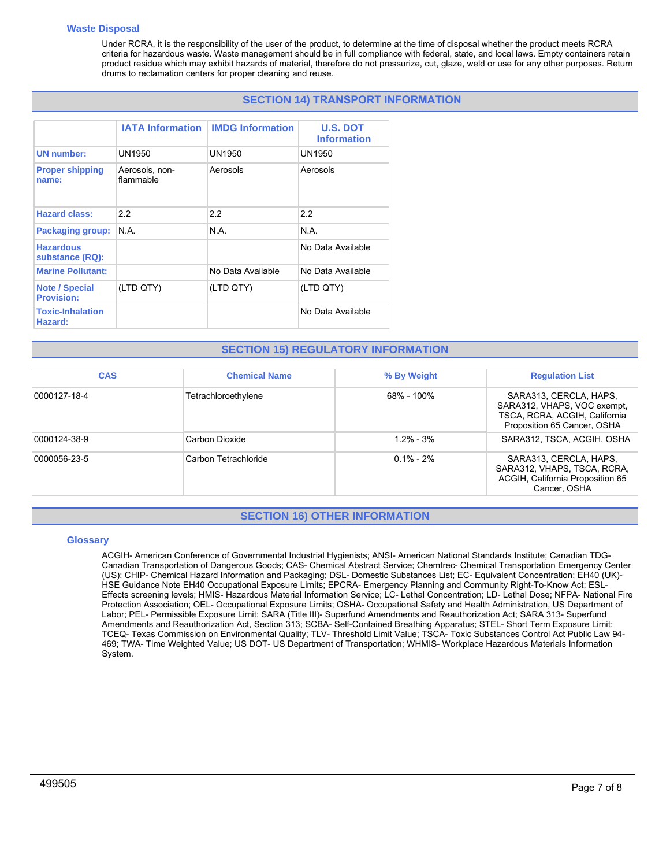## **Waste Disposal**

Under RCRA, it is the responsibility of the user of the product, to determine at the time of disposal whether the product meets RCRA criteria for hazardous waste. Waste management should be in full compliance with federal, state, and local laws. Empty containers retain product residue which may exhibit hazards of material, therefore do not pressurize, cut, glaze, weld or use for any other purposes. Return drums to reclamation centers for proper cleaning and reuse.

# **SECTION 14) TRANSPORT INFORMATION**

|                                            | <b>IATA Information</b>     | <b>IMDG Information</b> | <b>U.S. DOT</b><br><b>Information</b> |
|--------------------------------------------|-----------------------------|-------------------------|---------------------------------------|
| <b>UN number:</b>                          | UN1950                      | UN1950                  | UN1950                                |
| <b>Proper shipping</b><br>name:            | Aerosols, non-<br>flammable | Aerosols                | Aerosols                              |
| <b>Hazard class:</b>                       | 2.2                         | 2.2                     | 2.2                                   |
| <b>Packaging group:</b>                    | N.A.                        | N.A.                    | N.A.                                  |
| <b>Hazardous</b><br>substance (RQ):        |                             |                         | No Data Available                     |
| <b>Marine Pollutant:</b>                   |                             | No Data Available       | No Data Available                     |
| <b>Note / Special</b><br><b>Provision:</b> | (LTD QTY)                   | (LTD QTY)               | (LTD QTY)                             |
| <b>Toxic-Inhalation</b><br>Hazard:         |                             |                         | No Data Available                     |

# **SECTION 15) REGULATORY INFORMATION**

| <b>CAS</b>   | <b>Chemical Name</b> | % By Weight   | <b>Regulation List</b>                                                                                                |
|--------------|----------------------|---------------|-----------------------------------------------------------------------------------------------------------------------|
| 0000127-18-4 | Tetrachloroethylene  | 68% - 100%    | SARA313, CERCLA, HAPS,<br>SARA312, VHAPS, VOC exempt,<br>TSCA, RCRA, ACGIH, California<br>Proposition 65 Cancer, OSHA |
| 0000124-38-9 | Carbon Dioxide       | $12\% - 3\%$  | SARA312, TSCA, ACGIH, OSHA                                                                                            |
| 0000056-23-5 | Carbon Tetrachloride | $0.1\% - 2\%$ | SARA313, CERCLA, HAPS,<br>SARA312, VHAPS, TSCA, RCRA,<br>ACGIH, California Proposition 65<br>Cancer, OSHA             |

# **SECTION 16) OTHER INFORMATION**

## **Glossary**

ACGIH- American Conference of Governmental Industrial Hygienists; ANSI- American National Standards Institute; Canadian TDG-Canadian Transportation of Dangerous Goods; CAS- Chemical Abstract Service; Chemtrec- Chemical Transportation Emergency Center (US); CHIP- Chemical Hazard Information and Packaging; DSL- Domestic Substances List; EC- Equivalent Concentration; EH40 (UK)- HSE Guidance Note EH40 Occupational Exposure Limits; EPCRA- Emergency Planning and Community Right-To-Know Act; ESL-Effects screening levels; HMIS- Hazardous Material Information Service; LC- Lethal Concentration; LD- Lethal Dose; NFPA- National Fire Protection Association; OEL- Occupational Exposure Limits; OSHA- Occupational Safety and Health Administration, US Department of Labor; PEL- Permissible Exposure Limit; SARA (Title III)- Superfund Amendments and Reauthorization Act; SARA 313- Superfund Amendments and Reauthorization Act, Section 313; SCBA- Self-Contained Breathing Apparatus; STEL- Short Term Exposure Limit; TCEQ- Texas Commission on Environmental Quality; TLV- Threshold Limit Value; TSCA- Toxic Substances Control Act Public Law 94- 469; TWA- Time Weighted Value; US DOT- US Department of Transportation; WHMIS- Workplace Hazardous Materials Information System.